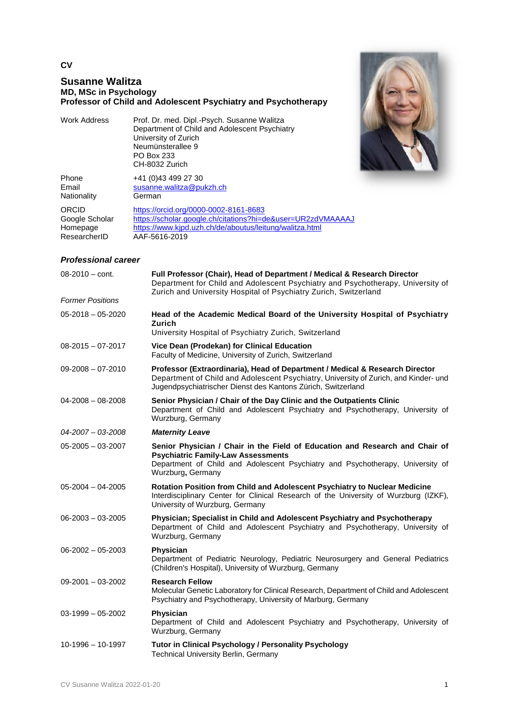## **CV**

# **Susanne Walitza MD, MSc in Psychology Professor of Child and Adolescent Psychiatry and Psychotherapy**

| Work Address | Prof. Dr. med. Dipl.-Psych. Susanne Walitza<br>Department of Child and Adolescent Psychiatry<br>University of Zurich |
|--------------|----------------------------------------------------------------------------------------------------------------------|
|              | Neumünsterallee 9<br>PO Box 233                                                                                      |
|              | CH-8032 Zurich                                                                                                       |



| <b>Phone</b><br>Email<br>Nationality | +41 (0)43 499 27 30<br>susanne.walitza@pukzh.ch<br>German   |
|--------------------------------------|-------------------------------------------------------------|
| ORCID                                | https://orcid.org/0000-0002-8161-8683                       |
| Google Scholar                       | https://scholar.google.ch/citations?hi=de&user=UR2zdVMAAAAJ |
| Homepage                             | https://www.kjpd.uzh.ch/de/aboutus/leitung/walitza.html     |
| ResearcherID                         | AAF-5616-2019                                               |

## *Professional career*

| 08-2010 - cont.         | Full Professor (Chair), Head of Department / Medical & Research Director<br>Department for Child and Adolescent Psychiatry and Psychotherapy, University of<br>Zurich and University Hospital of Psychiatry Zurich, Switzerland      |
|-------------------------|--------------------------------------------------------------------------------------------------------------------------------------------------------------------------------------------------------------------------------------|
| <b>Former Positions</b> |                                                                                                                                                                                                                                      |
| $05 - 2018 - 05 - 2020$ | Head of the Academic Medical Board of the University Hospital of Psychiatry<br>Zurich<br>University Hospital of Psychiatry Zurich, Switzerland                                                                                       |
| $08 - 2015 - 07 - 2017$ | Vice Dean (Prodekan) for Clinical Education<br>Faculty of Medicine, University of Zurich, Switzerland                                                                                                                                |
| 09-2008 - 07-2010       | Professor (Extraordinaria), Head of Department / Medical & Research Director<br>Department of Child and Adolescent Psychiatry, University of Zurich, and Kinder- und<br>Jugendpsychiatrischer Dienst des Kantons Zürich, Switzerland |
| 04-2008 - 08-2008       | Senior Physician / Chair of the Day Clinic and the Outpatients Clinic<br>Department of Child and Adolescent Psychiatry and Psychotherapy, University of<br>Wurzburg, Germany                                                         |
| $04 - 2007 - 03 - 2008$ | <b>Maternity Leave</b>                                                                                                                                                                                                               |
| $05 - 2005 - 03 - 2007$ | Senior Physician / Chair in the Field of Education and Research and Chair of<br><b>Psychiatric Family-Law Assessments</b><br>Department of Child and Adolescent Psychiatry and Psychotherapy, University of<br>Wurzburg, Germany     |
| 05-2004 - 04-2005       | Rotation Position from Child and Adolescent Psychiatry to Nuclear Medicine<br>Interdisciplinary Center for Clinical Research of the University of Wurzburg (IZKF),<br>University of Wurzburg, Germany                                |
| $06 - 2003 - 03 - 2005$ | Physician; Specialist in Child and Adolescent Psychiatry and Psychotherapy<br>Department of Child and Adolescent Psychiatry and Psychotherapy, University of<br>Wurzburg, Germany                                                    |
| $06 - 2002 - 05 - 2003$ | Physician<br>Department of Pediatric Neurology, Pediatric Neurosurgery and General Pediatrics<br>(Children's Hospital), University of Wurzburg, Germany                                                                              |
| $09 - 2001 - 03 - 2002$ | <b>Research Fellow</b><br>Molecular Genetic Laboratory for Clinical Research, Department of Child and Adolescent<br>Psychiatry and Psychotherapy, University of Marburg, Germany                                                     |
| $03-1999 - 05-2002$     | Physician<br>Department of Child and Adolescent Psychiatry and Psychotherapy, University of<br>Wurzburg, Germany                                                                                                                     |
| 10-1996 - 10-1997       | Tutor in Clinical Psychology / Personality Psychology<br><b>Technical University Berlin, Germany</b>                                                                                                                                 |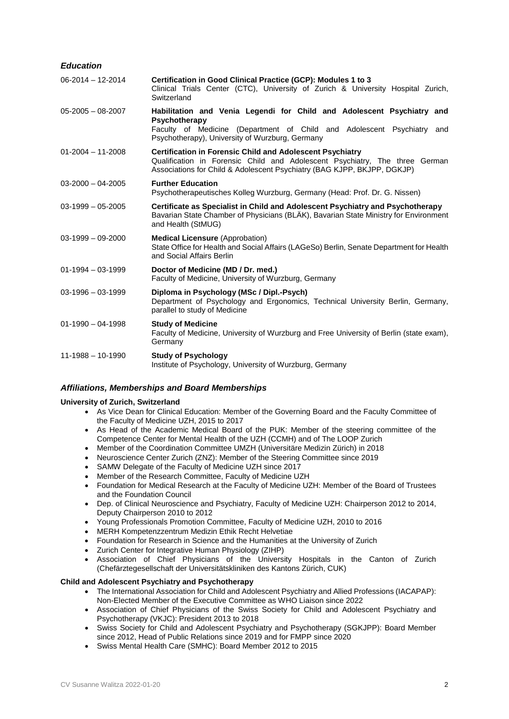## *Education*

| $06 - 2014 - 12 - 2014$ | Certification in Good Clinical Practice (GCP): Modules 1 to 3<br>Clinical Trials Center (CTC), University of Zurich & University Hospital Zurich,<br>Switzerland                                                           |
|-------------------------|----------------------------------------------------------------------------------------------------------------------------------------------------------------------------------------------------------------------------|
| $05 - 2005 - 08 - 2007$ | Habilitation and Venia Legendi for Child and Adolescent Psychiatry and<br>Psychotherapy<br>Faculty of Medicine (Department of Child and Adolescent Psychiatry and<br>Psychotherapy), University of Wurzburg, Germany       |
| $01 - 2004 - 11 - 2008$ | <b>Certification in Forensic Child and Adolescent Psychiatry</b><br>Qualification in Forensic Child and Adolescent Psychiatry, The three German<br>Associations for Child & Adolescent Psychiatry (BAG KJPP, BKJPP, DGKJP) |
| $03 - 2000 - 04 - 2005$ | <b>Further Education</b><br>Psychotherapeutisches Kolleg Wurzburg, Germany (Head: Prof. Dr. G. Nissen)                                                                                                                     |
| $03-1999 - 05-2005$     | Certificate as Specialist in Child and Adolescent Psychiatry and Psychotherapy<br>Bavarian State Chamber of Physicians (BLÄK), Bavarian State Ministry for Environment<br>and Health (StMUG)                               |
| $03-1999 - 09-2000$     | <b>Medical Licensure (Approbation)</b><br>State Office for Health and Social Affairs (LAGeSo) Berlin, Senate Department for Health<br>and Social Affairs Berlin                                                            |
| $01-1994 - 03-1999$     | Doctor of Medicine (MD / Dr. med.)<br>Faculty of Medicine, University of Wurzburg, Germany                                                                                                                                 |
| $03-1996 - 03-1999$     | Diploma in Psychology (MSc / Dipl.-Psych)<br>Department of Psychology and Ergonomics, Technical University Berlin, Germany,<br>parallel to study of Medicine                                                               |
| $01-1990 - 04-1998$     | <b>Study of Medicine</b><br>Faculty of Medicine, University of Wurzburg and Free University of Berlin (state exam),<br>Germany                                                                                             |
| $11-1988 - 10-1990$     | <b>Study of Psychology</b><br>Institute of Psychology, University of Wurzburg, Germany                                                                                                                                     |

## *Affiliations, Memberships and Board Memberships*

## **University of Zurich, Switzerland**

- As Vice Dean for Clinical Education: Member of the Governing Board and the Faculty Committee of the Faculty of Medicine UZH, 2015 to 2017
- As Head of the Academic Medical Board of the PUK: Member of the steering committee of the Competence Center for Mental Health of the UZH (CCMH) and of The LOOP Zurich
- Member of the Coordination Committee UMZH (Universitäre Medizin Zürich) in 2018
- Neuroscience Center Zurich (ZNZ): Member of the Steering Committee since 2019
- SAMW Delegate of the Faculty of Medicine UZH since 2017
- Member of the Research Committee, Faculty of Medicine UZH
- Foundation for Medical Research at the Faculty of Medicine UZH: Member of the Board of Trustees and the Foundation Council
- Dep. of Clinical Neuroscience and Psychiatry, Faculty of Medicine UZH: Chairperson 2012 to 2014, Deputy Chairperson 2010 to 2012
- Young Professionals Promotion Committee, Faculty of Medicine UZH, 2010 to 2016
- MERH Kompetenzzentrum Medizin Ethik Recht Helvetiae
- Foundation for Research in Science and the Humanities at the University of Zurich
- Zurich Center for Integrative Human Physiology (ZIHP)
- Association of Chief Physicians of the University Hospitals in the Canton of Zurich (Chefärztegesellschaft der Universitätskliniken des Kantons Zürich, CUK)

## **Child and Adolescent Psychiatry and Psychotherapy**

- The International Association for Child and Adolescent Psychiatry and Allied Professions (IACAPAP): Non-Elected Member of the Executive Committee as WHO Liaison since 2022
- Association of Chief Physicians of the Swiss Society for Child and Adolescent Psychiatry and Psychotherapy (VKJC): President 2013 to 2018
- Swiss Society for Child and Adolescent Psychiatry and Psychotherapy (SGKJPP): Board Member since 2012, Head of Public Relations since 2019 and for FMPP since 2020
- Swiss Mental Health Care (SMHC): Board Member 2012 to 2015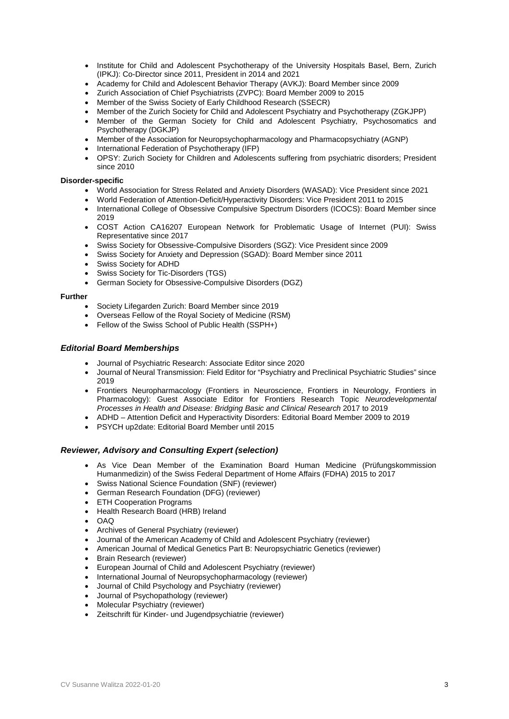- Institute for Child and Adolescent Psychotherapy of the University Hospitals Basel, Bern, Zurich (IPKJ): Co-Director since 2011, President in 2014 and 2021
- Academy for Child and Adolescent Behavior Therapy (AVKJ): Board Member since 2009
- Zurich Association of Chief Psychiatrists (ZVPC): Board Member 2009 to 2015
- Member of the Swiss Society of Early Childhood Research (SSECR)
- Member of the Zurich Society for Child and Adolescent Psychiatry and Psychotherapy (ZGKJPP)
- Member of the German Society for Child and Adolescent Psychiatry, Psychosomatics and Psychotherapy (DGKJP)
- Member of the Association for Neuropsychopharmacology and Pharmacopsychiatry (AGNP)
- International Federation of Psychotherapy (IFP)
- OPSY: Zurich Society for Children and Adolescents suffering from psychiatric disorders; President since 2010

#### **Disorder-specific**

- World Association for Stress Related and Anxiety Disorders (WASAD): Vice President since 2021
- World Federation of Attention-Deficit/Hyperactivity Disorders: Vice President 2011 to 2015
- International College of Obsessive Compulsive Spectrum Disorders (ICOCS): Board Member since 2019
- COST Action CA16207 European Network for Problematic Usage of Internet (PUI): Swiss Representative since 2017
- Swiss Society for Obsessive-Compulsive Disorders (SGZ): Vice President since 2009
- Swiss Society for Anxiety and Depression (SGAD): Board Member since 2011
- Swiss Society for ADHD
- Swiss Society for Tic-Disorders (TGS)
- German Society for Obsessive-Compulsive Disorders (DGZ)

#### **Further**

- Society Lifegarden Zurich: Board Member since 2019
- Overseas Fellow of the Royal Society of Medicine (RSM)
- Fellow of the Swiss School of Public Health (SSPH+)

## *Editorial Board Memberships*

- Journal of Psychiatric Research: Associate Editor since 2020
- Journal of Neural Transmission: Field Editor for "Psychiatry and Preclinical Psychiatric Studies" since 2019
- Frontiers Neuropharmacology (Frontiers in Neuroscience, Frontiers in Neurology, Frontiers in Pharmacology): Guest Associate Editor for Frontiers Research Topic *Neurodevelopmental Processes in Health and Disease: Bridging Basic and Clinical Research* 2017 to 2019
- ADHD Attention Deficit and Hyperactivity Disorders: Editorial Board Member 2009 to 2019
- PSYCH up2date: Editorial Board Member until 2015

## *Reviewer, Advisory and Consulting Expert (selection)*

- As Vice Dean Member of the Examination Board Human Medicine (Prüfungskommission Humanmedizin) of the Swiss Federal Department of Home Affairs (FDHA) 2015 to 2017
- Swiss National Science Foundation (SNF) (reviewer)
- German Research Foundation (DFG) (reviewer)
- **ETH Cooperation Programs**
- Health Research Board (HRB) Ireland
- $\Omega$
- Archives of General Psychiatry (reviewer)
- Journal of the American Academy of Child and Adolescent Psychiatry (reviewer)
- American Journal of Medical Genetics Part B: Neuropsychiatric Genetics (reviewer)
- Brain Research (reviewer)
- European Journal of Child and Adolescent Psychiatry (reviewer)
- International Journal of Neuropsychopharmacology (reviewer)
- Journal of Child Psychology and Psychiatry (reviewer)
- Journal of Psychopathology (reviewer)
- Molecular Psychiatry (reviewer)
- Zeitschrift für Kinder- und Jugendpsychiatrie (reviewer)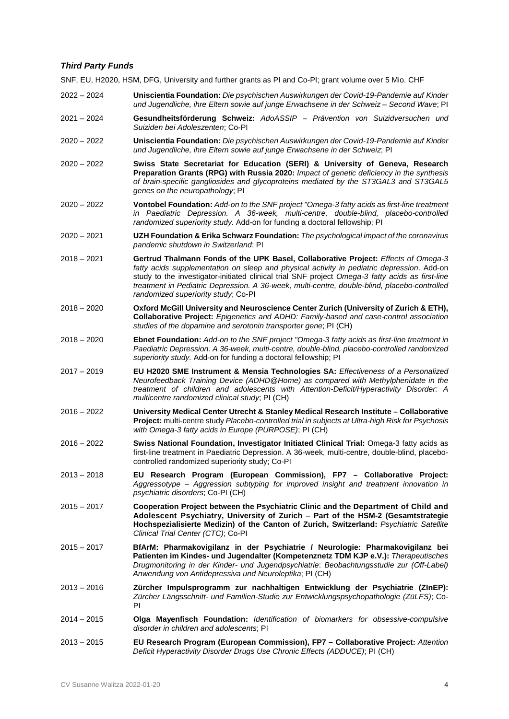## *Third Party Funds*

SNF, EU, H2020, HSM, DFG, University and further grants as PI and Co-PI; grant volume over 5 Mio. CHF

- 2022 2024 **Uniscientia Foundation:** *Die psychischen Auswirkungen der Covid-19-Pandemie auf Kinder und Jugendliche, ihre Eltern sowie auf junge Erwachsene in der Schweiz – Second Wave*; PI
- 2021 2024 **Gesundheitsförderung Schweiz:** *AdoASSIP – Prävention von Suizidversuchen und Suiziden bei Adoleszenten*; Co-PI
- 2020 2022 **Uniscientia Foundation:** *Die psychischen Auswirkungen der Covid-19-Pandemie auf Kinder und Jugendliche, ihre Eltern sowie auf junge Erwachsene in der Schweiz*; PI
- 2020 2022 **Swiss State Secretariat for Education (SERI) & University of Geneva, Research Preparation Grants (RPG) with Russia 2020:** *Impact of genetic deficiency in the synthesis of brain-specific gangliosides and glycoproteins mediated by the ST3GAL3 and ST3GAL5 genes on the neuropathology*; PI
- 2020 2022 **Vontobel Foundation:** *Add-on to the SNF project "Omega-3 fatty acids as first-line treatment in Paediatric Depression. A 36-week, multi-centre, double-blind, placebo-controlled randomized superiority study.* Add-on for funding a doctoral fellowship; PI
- 2020 2021 **UZH Foundation & Erika Schwarz Foundation:** *The psychological impact of the coronavirus pandemic shutdown in Switzerland*; PI
- 2018 2021 **Gertrud Thalmann Fonds of the UPK Basel, Collaborative Project:** *Effects of Omega-3 fatty acids supplementation on sleep and physical activity in pediatric depression*. Add-on study to the investigator-initiated clinical trial SNF project *Omega-3 fatty acids as first-line treatment in Pediatric Depression. A 36-week, multi-centre, double-blind, placebo-controlled randomized superiority study*; Co-PI
- 2018 2020 **Oxford McGill University and Neuroscience Center Zurich (University of Zurich & ETH), Collaborative Project:** *Epigenetics and ADHD: Family-based and case-control association studies of the dopamine and serotonin transporter gene*; PI (CH)
- 2018 2020 **Ebnet Foundation:** *Add-on to the SNF project "Omega-3 fatty acids as first-line treatment in Paediatric Depression. A 36-week, multi-centre, double-blind, placebo-controlled randomized superiority study.* Add-on for funding a doctoral fellowship; PI
- 2017 2019 **EU H2020 SME Instrument & Mensia Technologies SA:** *Effectiveness of a Personalized Neurofeedback Training Device (ADHD@Home) as compared with Methylphenidate in the treatment of children and adolescents with Attention-Deficit/Hyperactivity Disorder: A multicentre randomized clinical study*; PI (CH)
- 2016 2022 **University Medical Center Utrecht & Stanley Medical Research Institute – Collaborative Project:** multi-centre study *Placebo-controlled trial in subjects at Ultra-high Risk for Psychosis with Omega-3 fatty acids in Europe (PURPOSE)*; PI (CH)
- 2016 2022 **Swiss National Foundation, Investigator Initiated Clinical Trial:** Omega-3 fatty acids as first-line treatment in Paediatric Depression. A 36-week, multi-centre, double-blind, placebocontrolled randomized superiority study; Co-PI
- 2013 2018 **EU Research Program (European Commission), FP7 – Collaborative Project:** *Aggressotype – Aggression subtyping for improved insight and treatment innovation in psychiatric disorders*; Co-PI (CH)
- 2015 2017 **Cooperation Project between the Psychiatric Clinic and the [Department of Child and](http://www.kjpd.uzh.ch/index_en.html)  [Adolescent Psychiatry,](http://www.kjpd.uzh.ch/index_en.html) University of Zurich** – **Part of the HSM-2 (Gesamtstrategie Hochspezialisierte Medizin) of the Canton of Zurich, Switzerland:** *Psychiatric Satellite Clinical Trial Center (CTC)*; Co-PI
- 2015 2017 **BfArM: Pharmakovigilanz in der Psychiatrie / Neurologie: Pharmakovigilanz bei Patienten im Kindes- und Jugendalter (Kompetenznetz TDM KJP e.V.):** *Therapeutisches Drugmonitoring in der Kinder- und Jugendpsychiatrie*: *Beobachtungsstudie zur (Off-Label) Anwendung von Antidepressiva und Neuroleptika*; PI (CH)
- 2013 2016 **Zürcher Impulsprogramm zur nachhaltigen Entwicklung der Psychiatrie (ZInEP):** *Zürcher Längsschnitt- und Familien-Studie zur Entwicklungspsychopathologie (ZüLFS)*; Co-PI
- 2014 2015 **Olga Mayenfisch Foundation:** *Identification of biomarkers for obsessive-compulsive disorder in children and adolescents*; PI
- 2013 2015 **EU Research Program (European Commission), FP7 – Collaborative Project:** *Attention Deficit Hyperactivity Disorder Drugs Use Chronic Effects (ADDUCE)*; PI (CH)